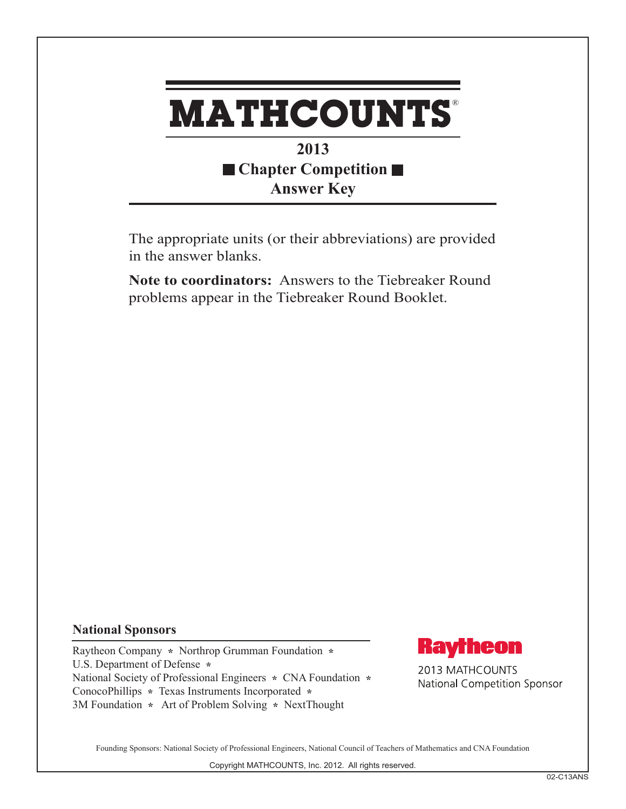

## **2013 Chapter Competition Answer Key**

The appropriate units (or their abbreviations) are provided in the answer blanks.

**Note to coordinators:** Answers to the Tiebreaker Round problems appear in the Tiebreaker Round Booklet.

## **National Sponsors**

Raytheon Company **\*** Northrop Grumman Foundation **\***  U.S. Department of Defense **\***  National Society of Professional Engineers **\*** CNA Foundation **\***  ConocoPhillips **\*** Texas Instruments Incorporated **\*** 3M Foundation **\*** Art of Problem Solving **\*** NextThought



2013 MATHCOUNTS National Competition Sponsor

Founding Sponsors: National Society of Professional Engineers, National Council of Teachers of Mathematics and CNA Foundation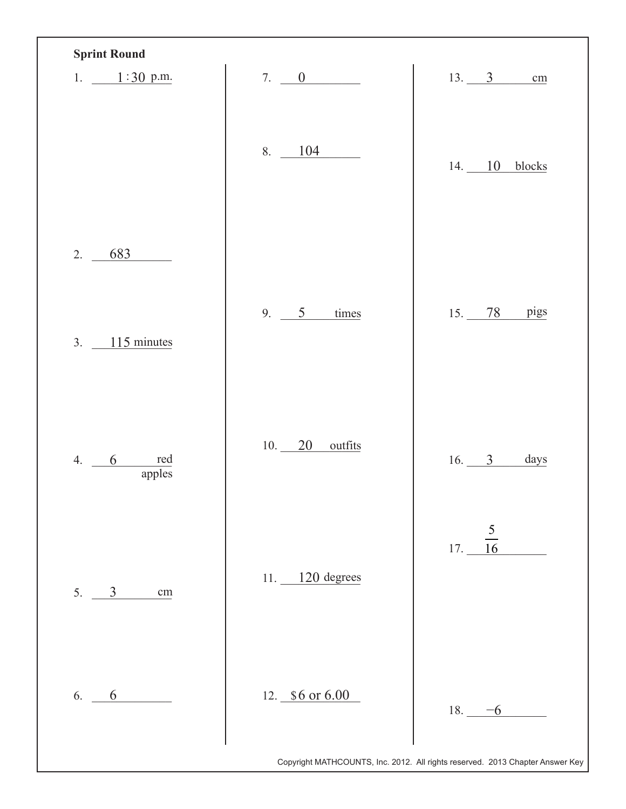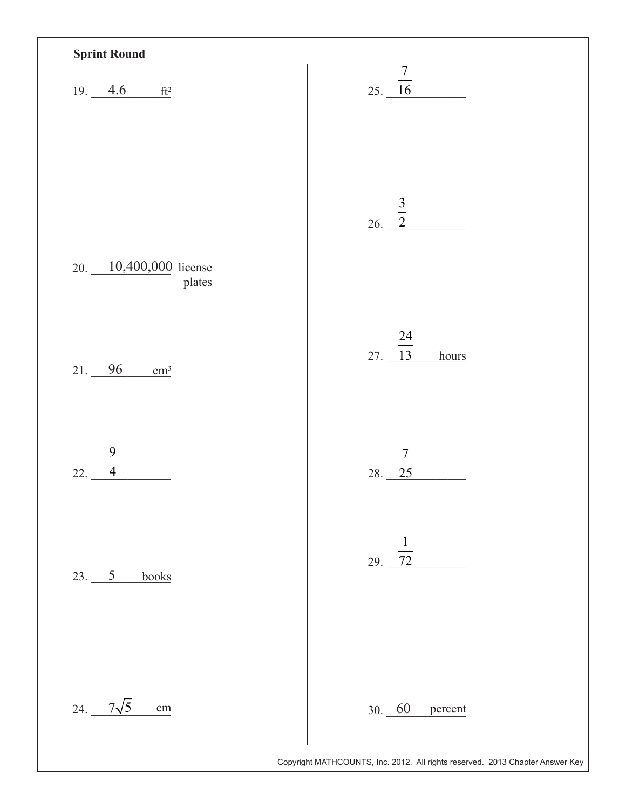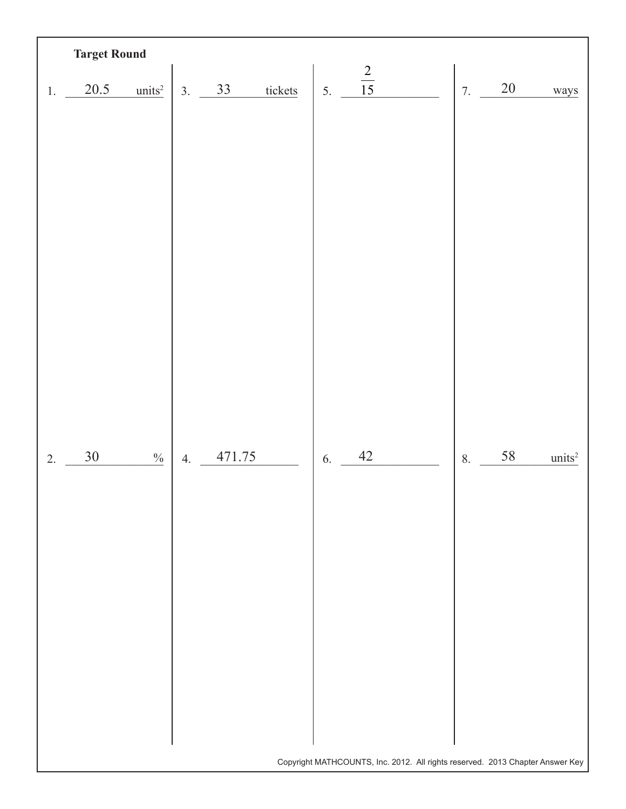|                  | <b>Target Round</b> |                    |    |        |         |    |                |    |    |                                                                                                |
|------------------|---------------------|--------------------|----|--------|---------|----|----------------|----|----|------------------------------------------------------------------------------------------------|
| 1.               | 20.5                | units <sup>2</sup> | 3. | 33     | tickets | 5. | $\frac{2}{15}$ | 7. | 20 | ways                                                                                           |
|                  |                     |                    |    |        |         |    |                |    |    |                                                                                                |
| $\overline{2}$ . | 30                  | $\frac{0}{0}$      | 4. | 471.75 |         | 6. | $42\,$         | 8. | 58 | $\rm units^2$<br>Copyright MATHCOUNTS, Inc. 2012. All rights reserved. 2013 Chapter Answer Key |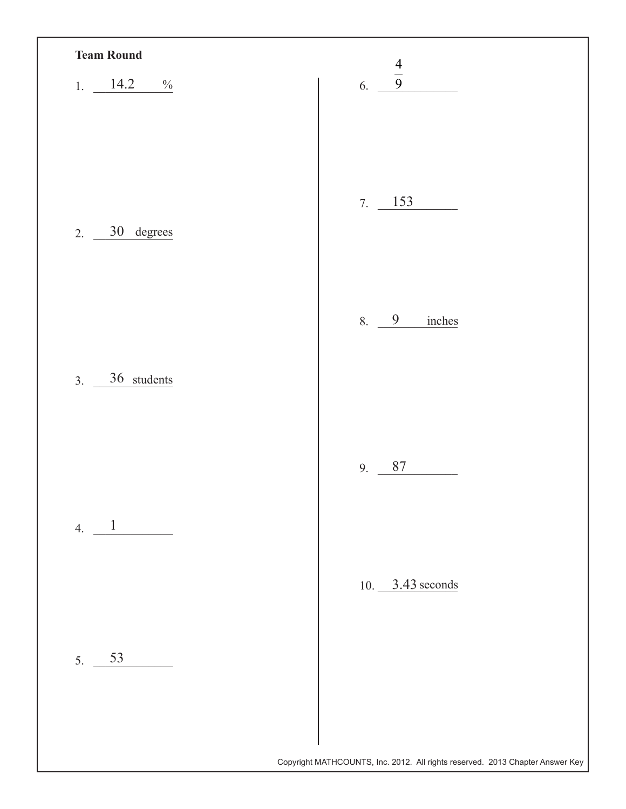| 1. $14.2$<br>$\%$                                                                                                                                                                                                                                                                                                                                                                                                   | $\frac{4}{9}$<br>6. |
|---------------------------------------------------------------------------------------------------------------------------------------------------------------------------------------------------------------------------------------------------------------------------------------------------------------------------------------------------------------------------------------------------------------------|---------------------|
|                                                                                                                                                                                                                                                                                                                                                                                                                     |                     |
| 30 degrees<br>2.                                                                                                                                                                                                                                                                                                                                                                                                    | $7. \ \ 153$        |
| 3. 36 students                                                                                                                                                                                                                                                                                                                                                                                                      | 8. 9<br>inches      |
|                                                                                                                                                                                                                                                                                                                                                                                                                     | 87<br>9.            |
| 4. $\frac{1}{\sqrt{1-\frac{1}{1-\frac{1}{1-\frac{1}{1-\frac{1}{1-\frac{1}{1-\frac{1}{1-\frac{1}{1-\frac{1}{1-\frac{1}{1-\frac{1}{1-\frac{1}{1-\frac{1}{1-\frac{1}{1-\frac{1}{1-\frac{1}{1-\frac{1}{1-\frac{1}{1-\frac{1}{1-\frac{1}{1-\frac{1}{1-\frac{1}{1-\frac{1}{1-\frac{1}{1-\frac{1}{1-\frac{1}{1-\frac{1}{1-\frac{1}{1-\frac{1}{1-\frac{1}{1-\frac{1}{1-\frac{1}{1-\frac{1}{1-\frac{1}{1-\frac{1}{1-\frac{1$ |                     |
|                                                                                                                                                                                                                                                                                                                                                                                                                     | 10. $3.43$ seconds  |
| 53<br>5.                                                                                                                                                                                                                                                                                                                                                                                                            |                     |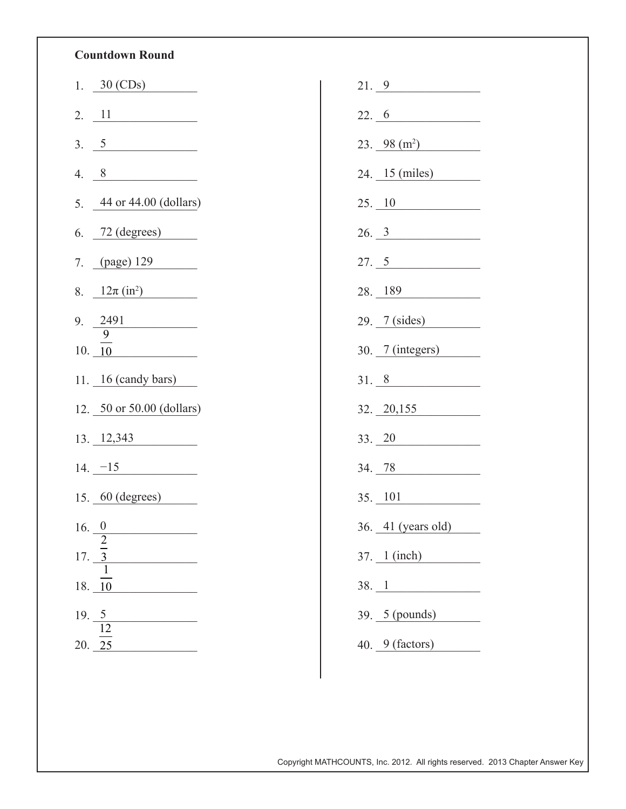## **Countdown Round**

|       | 1. $30 \text{ (CDs)}$     |
|-------|---------------------------|
|       | 2. $11$                   |
| 3.    | $\frac{5}{2}$             |
| 4.    | $8 \overline{)}$          |
| 5.    | 44 or 44.00 (dollars)     |
| 6.    | $72$ (degrees)            |
|       | 7. (page) 129             |
|       | 8. $12\pi (in^2)$         |
|       | 9. $2491$<br>9            |
|       | 10.10                     |
|       | 11. $16$ (candy bars)     |
|       | 12. 50 or 50.00 (dollars) |
|       | $13. \underline{12,343}$  |
|       | $14. -15$                 |
|       | $15.$ $60$ (degrees)      |
| 16. 0 |                           |
| 17.   | $\frac{2}{3}$             |
| 18.   | 10                        |
| 19.   | $\frac{5}{12}$            |
|       |                           |

| 21.9                          |
|-------------------------------|
| 22.6                          |
| $23. \ \ \frac{98 \ (m^2)}{}$ |
| 24. 15 (miles)                |
| 25. 10                        |
| 26.3                          |
| 27.5                          |
| $28. \underline{189}$         |
| 29. 7 (sides)                 |
| $30.7$ (integers)             |
| 31.8                          |
|                               |
| $32. \ \ \frac{20,155}{ }$    |
| $33. \ \ \frac{20}{ }$        |
| 34. 78                        |
| 35. 101                       |
| 36. 41 (years old)            |
| $37.$ $1 (inch)$              |
| 38. 1                         |
| 39. 5 (pounds)                |

Copyright MATHCOUNTS, Inc. 2012. All rights reserved. 2013 Chapter Answer Key